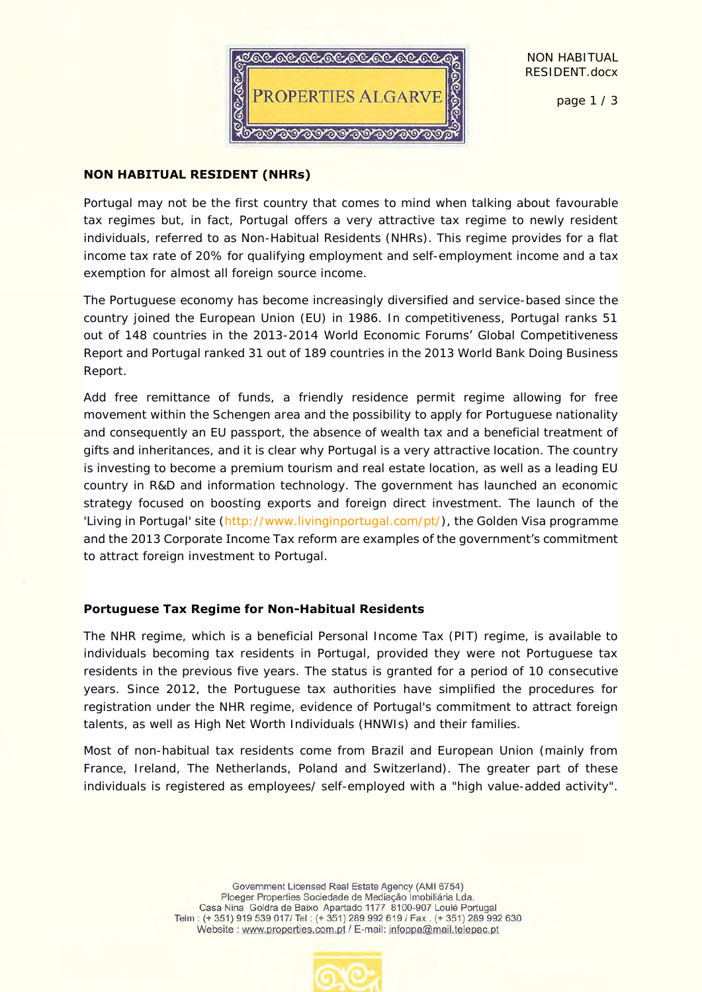

page 1 / 3

## **NON HABITUAL RESIDENT (NHRs)**

Portugal may not be the first country that comes to mind when talking about favourable tax regimes but, in fact, Portugal offers a very attractive tax regime to newly resident individuals, referred to as Non-Habitual Residents (NHRs). This regime provides for a flat income tax rate of 20% for qualifying employment and self-employment income and a tax exemption for almost all foreign source income.

The Portuguese economy has become increasingly diversified and service-based since the country joined the European Union (EU) in 1986. In competitiveness, Portugal ranks 51 out of 148 countries in the 2013-2014 World Economic Forums' Global Competitiveness Report and Portugal ranked 31 out of 189 countries in the 2013 World Bank Doing Business Report.

Add free remittance of funds, a friendly residence permit regime allowing for free movement within the Schengen area and the possibility to apply for Portuguese nationality and consequently an EU passport, the absence of wealth tax and a beneficial treatment of gifts and inheritances, and it is clear why Portugal is a very attractive location. The country is investing to become a premium tourism and real estate location, as well as a leading EU country in R&D and information technology. The government has launched an economic strategy focused on boosting exports and foreign direct investment. The launch of the 'Living in Portugal' site [\(http://www.livinginportugal.com/pt/\)](http://www.livinginportugal.com/pt/), the Golden Visa programme and the 2013 Corporate Income Tax reform are examples of the government's commitment to attract foreign investment to Portugal.

## **Portuguese Tax Regime for Non-Habitual Residents**

The NHR regime, which is a beneficial Personal Income Tax (PIT) regime, is available to individuals becoming tax residents in Portugal, provided they were not Portuguese tax residents in the previous five years. The status is granted for a period of 10 consecutive years. Since 2012, the Portuguese tax authorities have simplified the procedures for registration under the NHR regime, evidence of Portugal's commitment to attract foreign talents, as well as High Net Worth Individuals (HNWIs) and their families.

Most of non-habitual tax residents come from Brazil and European Union (mainly from France, Ireland, The Netherlands, Poland and Switzerland). The greater part of these individuals is registered as employees/ self-employed with a "high value-added activity".

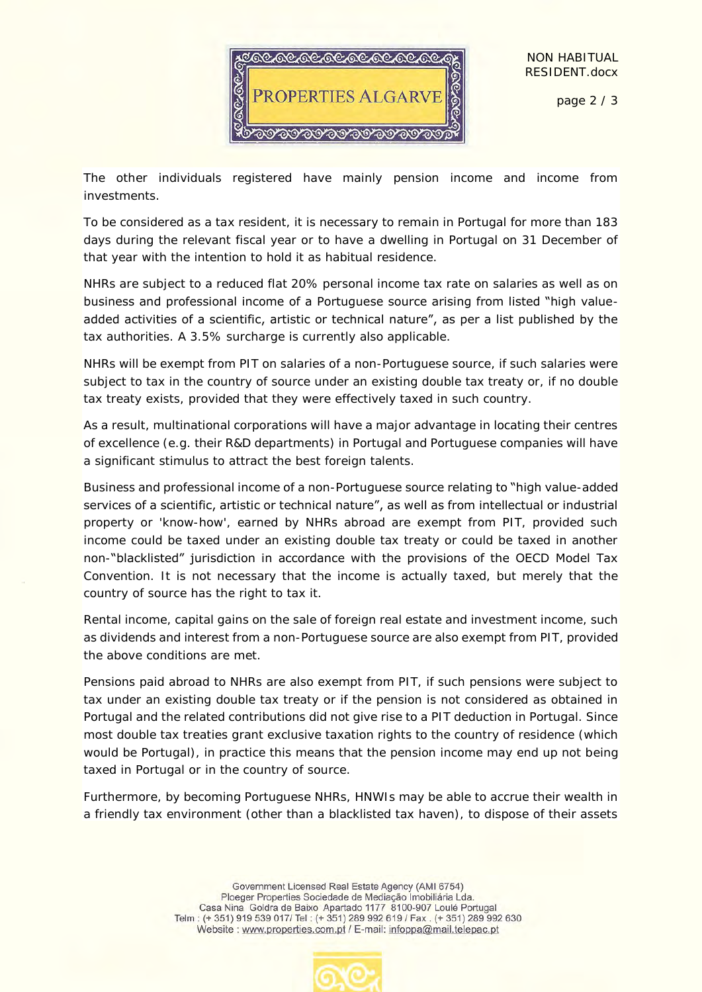

page 2 / 3

The other individuals registered have mainly pension income and income from investments.

To be considered as a tax resident, it is necessary to remain in Portugal for more than 183 days during the relevant fiscal year or to have a dwelling in Portugal on 31 December of that year with the intention to hold it as habitual residence.

NHRs are subject to a reduced flat 20% personal income tax rate on salaries as well as on business and professional income of a Portuguese source arising from listed "high valueadded activities of a scientific, artistic or technical nature", as per a list published by the tax authorities. A 3.5% surcharge is currently also applicable.

NHRs will be exempt from PIT on salaries of a non-Portuguese source, if such salaries were subject to tax in the country of source under an existing double tax treaty or, if no double tax treaty exists, provided that they were effectively taxed in such country.

As a result, multinational corporations will have a major advantage in locating their centres of excellence (e.g. their R&D departments) in Portugal and Portuguese companies will have a significant stimulus to attract the best foreign talents.

Business and professional income of a non-Portuguese source relating to "high value-added services of a scientific, artistic or technical nature", as well as from intellectual or industrial property or 'know-how', earned by NHRs abroad are exempt from PIT, provided such income could be taxed under an existing double tax treaty or could be taxed in another non-"blacklisted" jurisdiction in accordance with the provisions of the OECD Model Tax Convention. It is not necessary that the income is actually taxed, but merely that the country of source has the right to tax it.

Rental income, capital gains on the sale of foreign real estate and investment income, such as dividends and interest from a non-Portuguese source are also exempt from PIT, provided the above conditions are met.

Pensions paid abroad to NHRs are also exempt from PIT, if such pensions were subject to tax under an existing double tax treaty or if the pension is not considered as obtained in Portugal and the related contributions did not give rise to a PIT deduction in Portugal. Since most double tax treaties grant exclusive taxation rights to the country of residence (which would be Portugal), in practice this means that the pension income may end up not being taxed in Portugal or in the country of source.

Furthermore, by becoming Portuguese NHRs, HNWIs may be able to accrue their wealth in a friendly tax environment (other than a blacklisted tax haven), to dispose of their assets

> Government Licensed Real Estate Agency (AMI 6754) Ploeger Properties Sociedade de Mediação Imobiliária Lda. Casa Nina Goldra de Baixo Apartado 1177 8100-907 Loulé Portugal Telm: (+351) 919 539 017/ Tel: (+351) 289 992 619 / Fax. (+351) 289 992 630 Website: www.properties.com.pt / E-mail: infoppa@mail.telepac.pt